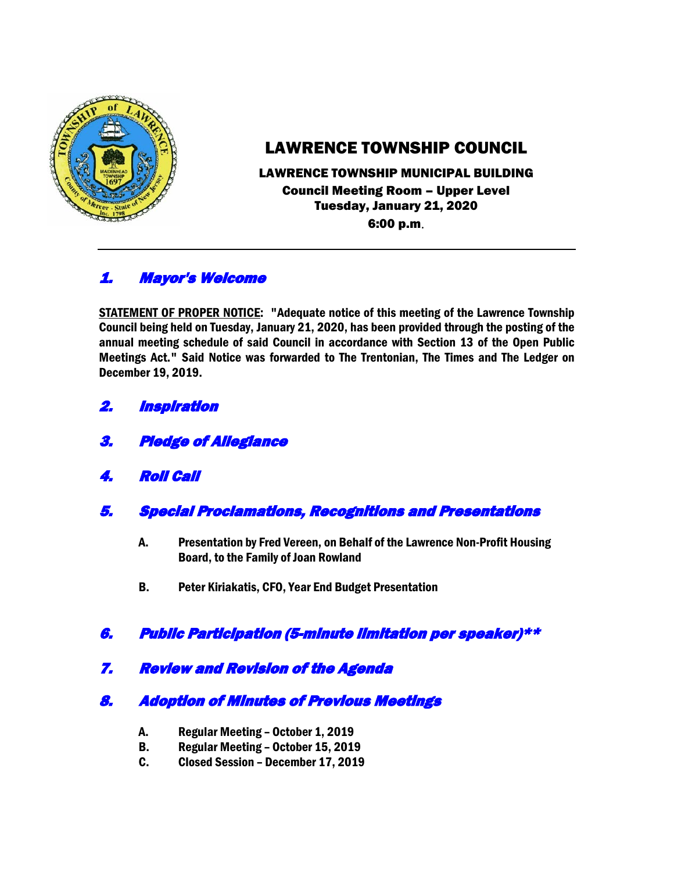

# LAWRENCE TOWNSHIP COUNCIL

### LAWRENCE TOWNSHIP MUNICIPAL BUILDING Council Meeting Room – Upper Level Tuesday, January 21, 2020 6:00 p.m.

# 1. Mayor's Welcome

STATEMENT OF PROPER NOTICE: "Adequate notice of this meeting of the Lawrence Township Council being held on Tuesday, January 21, 2020, has been provided through the posting of the annual meeting schedule of said Council in accordance with Section 13 of the Open Public Meetings Act." Said Notice was forwarded to The Trentonian, The Times and The Ledger on December 19, 2019.

- 2. Inspiration
- 3. Pledge of Allegiance
- 4. Roll Call
- 5. Special Proclamations, Recognitions and Presentations
	- A. Presentation by Fred Vereen, on Behalf of the Lawrence Non-Profit Housing Board, to the Family of Joan Rowland
	- B. Peter Kiriakatis, CFO, Year End Budget Presentation

## 6. Public Participation (5-minute limitation per speaker)\*\*

## 7. Review and Revision of the Agenda

# 8. Adoption of Minutes of Previous Meetings

- A. Regular Meeting October 1, 2019
- B. Regular Meeting October 15, 2019
- C. Closed Session December 17, 2019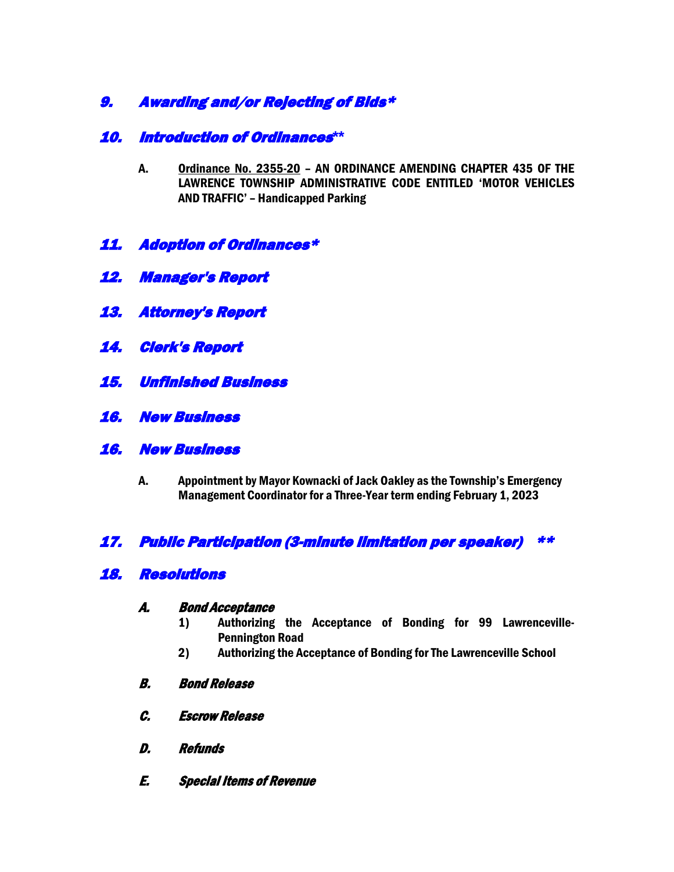## 9. Awarding and/or Rejecting of Bids\*

### 10. Introduction of Ordinances**\*\***

- A. Ordinance No. 2355-20 AN ORDINANCE AMENDING CHAPTER 435 OF THE LAWRENCE TOWNSHIP ADMINISTRATIVE CODE ENTITLED 'MOTOR VEHICLES AND TRAFFIC' – Handicapped Parking
- 11. Adoption of Ordinances\*
- 12. Manager's Report
- 13. Attorney's Report
- 14. Clerk's Report
- 15. Unfinished Business
- 16. New Business
- 16. New Business
	- A. Appointment by Mayor Kownacki of Jack Oakley as the Township's Emergency Management Coordinator for a Three-Year term ending February 1, 2023

## 17. Public Participation (3-minute limitation per speaker) \*\*

### 18. Resolutions

#### A. Bond Acceptance

- 1) Authorizing the Acceptance of Bonding for 99 Lawrenceville-Pennington Road
- 2) Authorizing the Acceptance of Bonding for The Lawrenceville School
- B. Bond Release
- C. Escrow Release
- D. Refunds
- E. Special Items of Revenue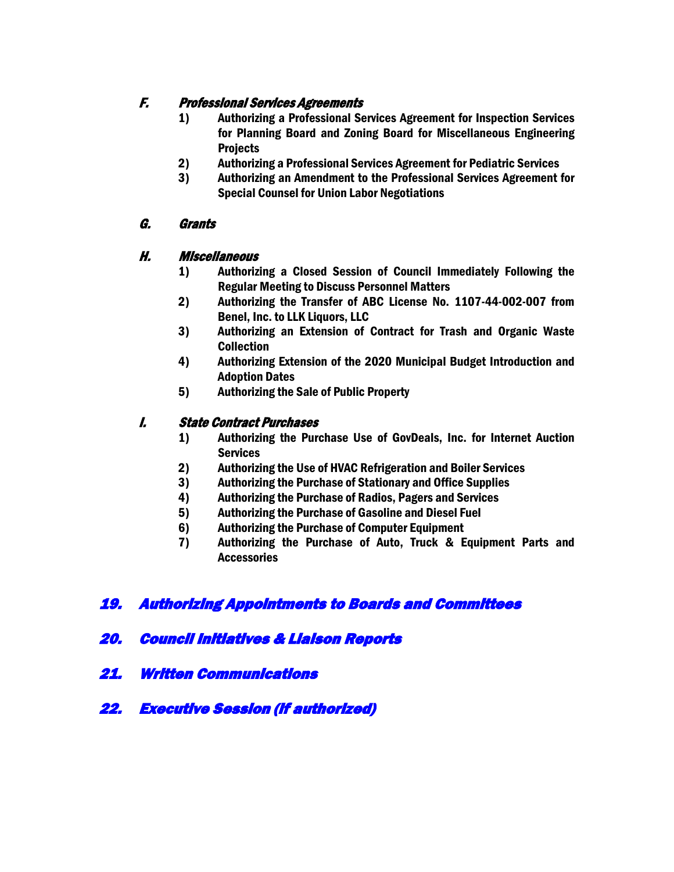### F. Professional Services Agreements

- 1) Authorizing a Professional Services Agreement for Inspection Services for Planning Board and Zoning Board for Miscellaneous Engineering **Projects**
- 2) Authorizing a Professional Services Agreement for Pediatric Services
- 3) Authorizing an Amendment to the Professional Services Agreement for Special Counsel for Union Labor Negotiations

### G. Grants

#### H. Miscellaneous

- 1) Authorizing a Closed Session of Council Immediately Following the Regular Meeting to Discuss Personnel Matters
- 2) Authorizing the Transfer of ABC License No. 1107-44-002-007 from Benel, Inc. to LLK Liquors, LLC
- 3) Authorizing an Extension of Contract for Trash and Organic Waste Collection
- 4) Authorizing Extension of the 2020 Municipal Budget Introduction and Adoption Dates
- 5) Authorizing the Sale of Public Property

#### I. State Contract Purchases

- 1) Authorizing the Purchase Use of GovDeals, Inc. for Internet Auction **Services**
- 2) Authorizing the Use of HVAC Refrigeration and Boiler Services
- 3) Authorizing the Purchase of Stationary and Office Supplies
- 4) Authorizing the Purchase of Radios, Pagers and Services
- 5) Authorizing the Purchase of Gasoline and Diesel Fuel
- 6) Authorizing the Purchase of Computer Equipment
- 7) Authorizing the Purchase of Auto, Truck & Equipment Parts and **Accessories**

## 19. Authorizing Appointments to Boards and Committees

### 20. Council Initiatives & Liaison Reports

- 21. Written Communications
- 22. Executive Session (if authorized)